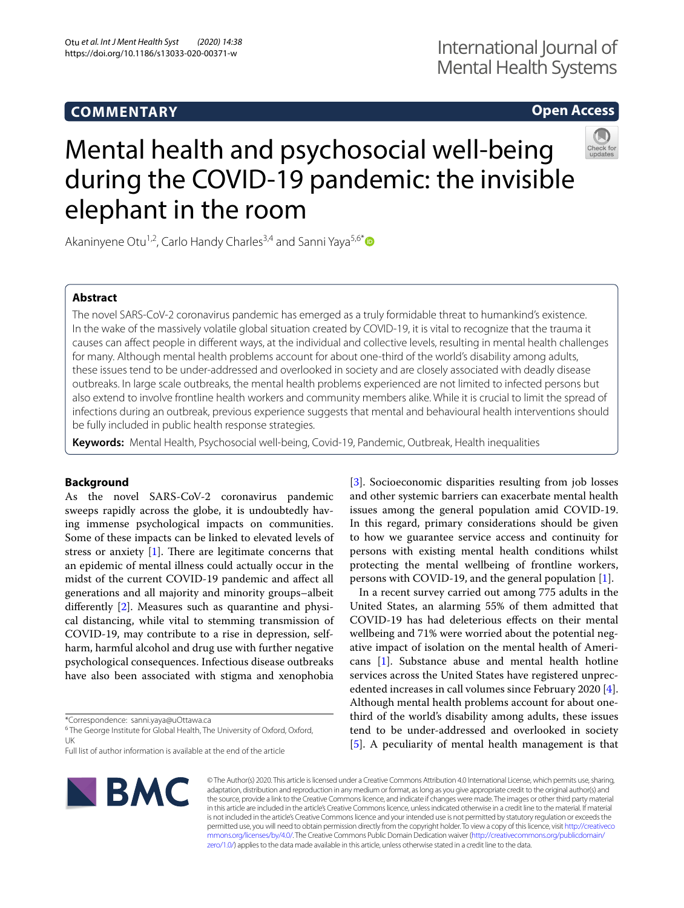# **COMMENTARY**

# **Open Access**

# Mental health and psychosocial well-being during the COVID-19 pandemic: the invisible elephant in the room

Akaninyene Otu<sup>1,2</sup>, Carlo Handy Charles<sup>3,4</sup> and Sanni Yaya<sup>5,6[\\*](http://orcid.org/0000-0002-4876-6043)</sup>

## **Abstract**

The novel SARS-CoV-2 coronavirus pandemic has emerged as a truly formidable threat to humankind's existence. In the wake of the massively volatile global situation created by COVID-19, it is vital to recognize that the trauma it causes can afect people in diferent ways, at the individual and collective levels, resulting in mental health challenges for many. Although mental health problems account for about one-third of the world's disability among adults, these issues tend to be under-addressed and overlooked in society and are closely associated with deadly disease outbreaks. In large scale outbreaks, the mental health problems experienced are not limited to infected persons but also extend to involve frontline health workers and community members alike. While it is crucial to limit the spread of infections during an outbreak, previous experience suggests that mental and behavioural health interventions should be fully included in public health response strategies.

**Keywords:** Mental Health, Psychosocial well-being, Covid-19, Pandemic, Outbreak, Health inequalities

## **Background**

As the novel SARS-CoV-2 coronavirus pandemic sweeps rapidly across the globe, it is undoubtedly having immense psychological impacts on communities. Some of these impacts can be linked to elevated levels of stress or anxiety  $[1]$  $[1]$ . There are legitimate concerns that an epidemic of mental illness could actually occur in the midst of the current COVID-19 pandemic and afect all generations and all majority and minority groups–albeit diferently [\[2](#page-4-1)]. Measures such as quarantine and physical distancing, while vital to stemming transmission of COVID-19, may contribute to a rise in depression, selfharm, harmful alcohol and drug use with further negative psychological consequences. Infectious disease outbreaks have also been associated with stigma and xenophobia

\*Correspondence: sanni.yaya@uOttawa.ca

<sup>6</sup> The George Institute for Global Health, The University of Oxford, Oxford, UK

[[3\]](#page-4-2). Socioeconomic disparities resulting from job losses and other systemic barriers can exacerbate mental health issues among the general population amid COVID-19. In this regard, primary considerations should be given to how we guarantee service access and continuity for persons with existing mental health conditions whilst protecting the mental wellbeing of frontline workers, persons with COVID-19, and the general population [\[1](#page-4-0)].

In a recent survey carried out among 775 adults in the United States, an alarming 55% of them admitted that COVID-19 has had deleterious efects on their mental wellbeing and 71% were worried about the potential negative impact of isolation on the mental health of Americans [[1\]](#page-4-0). Substance abuse and mental health hotline services across the United States have registered unprecedented increases in call volumes since February 2020 [\[4](#page-4-3)]. Although mental health problems account for about onethird of the world's disability among adults, these issues tend to be under-addressed and overlooked in society [[5\]](#page-4-4). A peculiarity of mental health management is that



© The Author(s) 2020. This article is licensed under a Creative Commons Attribution 4.0 International License, which permits use, sharing, adaptation, distribution and reproduction in any medium or format, as long as you give appropriate credit to the original author(s) and the source, provide a link to the Creative Commons licence, and indicate if changes were made. The images or other third party material in this article are included in the article's Creative Commons licence, unless indicated otherwise in a credit line to the material. If material is not included in the article's Creative Commons licence and your intended use is not permitted by statutory regulation or exceeds the permitted use, you will need to obtain permission directly from the copyright holder. To view a copy of this licence, visit [http://creativeco](http://creativecommons.org/licenses/by/4.0/) [mmons.org/licenses/by/4.0/.](http://creativecommons.org/licenses/by/4.0/) The Creative Commons Public Domain Dedication waiver ([http://creativecommons.org/publicdomain/](http://creativecommons.org/publicdomain/zero/1.0/) [zero/1.0/\)](http://creativecommons.org/publicdomain/zero/1.0/) applies to the data made available in this article, unless otherwise stated in a credit line to the data.

Full list of author information is available at the end of the article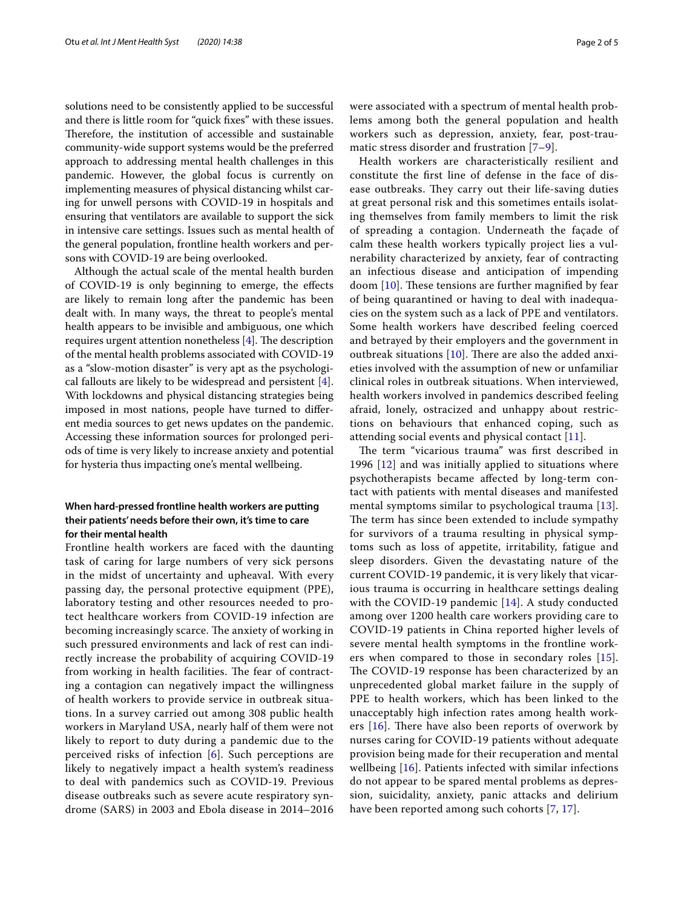solutions need to be consistently applied to be successful and there is little room for "quick fxes" with these issues. Therefore, the institution of accessible and sustainable community-wide support systems would be the preferred approach to addressing mental health challenges in this pandemic. However, the global focus is currently on implementing measures of physical distancing whilst caring for unwell persons with COVID-19 in hospitals and ensuring that ventilators are available to support the sick in intensive care settings. Issues such as mental health of the general population, frontline health workers and persons with COVID-19 are being overlooked.

Although the actual scale of the mental health burden of COVID-19 is only beginning to emerge, the efects are likely to remain long after the pandemic has been dealt with. In many ways, the threat to people's mental health appears to be invisible and ambiguous, one which requires urgent attention nonetheless  $[4]$ . The description of the mental health problems associated with COVID-19 as a "slow-motion disaster" is very apt as the psychological fallouts are likely to be widespread and persistent [\[4](#page-4-3)]. With lockdowns and physical distancing strategies being imposed in most nations, people have turned to diferent media sources to get news updates on the pandemic. Accessing these information sources for prolonged periods of time is very likely to increase anxiety and potential for hysteria thus impacting one's mental wellbeing.

## **When hard‑pressed frontline health workers are putting their patients' needs before their own, it's time to care for their mental health**

Frontline health workers are faced with the daunting task of caring for large numbers of very sick persons in the midst of uncertainty and upheaval. With every passing day, the personal protective equipment (PPE), laboratory testing and other resources needed to protect healthcare workers from COVID-19 infection are becoming increasingly scarce. The anxiety of working in such pressured environments and lack of rest can indirectly increase the probability of acquiring COVID-19 from working in health facilities. The fear of contracting a contagion can negatively impact the willingness of health workers to provide service in outbreak situations. In a survey carried out among 308 public health workers in Maryland USA, nearly half of them were not likely to report to duty during a pandemic due to the perceived risks of infection [[6\]](#page-4-5). Such perceptions are likely to negatively impact a health system's readiness to deal with pandemics such as COVID-19. Previous disease outbreaks such as severe acute respiratory syndrome (SARS) in 2003 and Ebola disease in 2014–2016 were associated with a spectrum of mental health problems among both the general population and health workers such as depression, anxiety, fear, post-trau-matic stress disorder and frustration [[7–](#page-4-6)[9](#page-4-7)].

Health workers are characteristically resilient and constitute the frst line of defense in the face of disease outbreaks. They carry out their life-saving duties at great personal risk and this sometimes entails isolating themselves from family members to limit the risk of spreading a contagion. Underneath the façade of calm these health workers typically project lies a vulnerability characterized by anxiety, fear of contracting an infectious disease and anticipation of impending doom  $[10]$  $[10]$  $[10]$ . These tensions are further magnified by fear of being quarantined or having to deal with inadequacies on the system such as a lack of PPE and ventilators. Some health workers have described feeling coerced and betrayed by their employers and the government in outbreak situations  $[10]$  $[10]$  $[10]$ . There are also the added anxieties involved with the assumption of new or unfamiliar clinical roles in outbreak situations. When interviewed, health workers involved in pandemics described feeling afraid, lonely, ostracized and unhappy about restrictions on behaviours that enhanced coping, such as attending social events and physical contact [[11](#page-4-9)].

The term "vicarious trauma" was first described in 1996 [[12\]](#page-4-10) and was initially applied to situations where psychotherapists became afected by long-term contact with patients with mental diseases and manifested mental symptoms similar to psychological trauma [[13](#page-4-11)]. The term has since been extended to include sympathy for survivors of a trauma resulting in physical symptoms such as loss of appetite, irritability, fatigue and sleep disorders. Given the devastating nature of the current COVID-19 pandemic, it is very likely that vicarious trauma is occurring in healthcare settings dealing with the COVID-19 pandemic [[14\]](#page-4-12). A study conducted among over 1200 health care workers providing care to COVID-19 patients in China reported higher levels of severe mental health symptoms in the frontline workers when compared to those in secondary roles [[15](#page-4-13)]. The COVID-19 response has been characterized by an unprecedented global market failure in the supply of PPE to health workers, which has been linked to the unacceptably high infection rates among health workers  $[16]$  $[16]$ . There have also been reports of overwork by nurses caring for COVID-19 patients without adequate provision being made for their recuperation and mental wellbeing [[16](#page-4-14)]. Patients infected with similar infections do not appear to be spared mental problems as depression, suicidality, anxiety, panic attacks and delirium have been reported among such cohorts [\[7](#page-4-6), [17](#page-4-15)].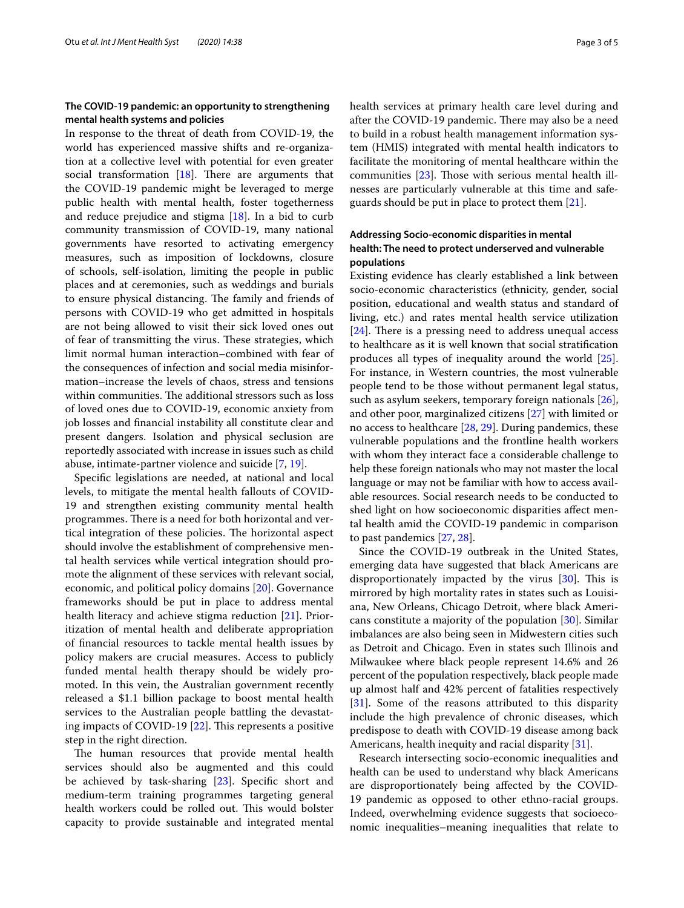## **The COVID‑19 pandemic: an opportunity to strengthening mental health systems and policies**

In response to the threat of death from COVID-19, the world has experienced massive shifts and re-organization at a collective level with potential for even greater social transformation  $[18]$  $[18]$ . There are arguments that the COVID-19 pandemic might be leveraged to merge public health with mental health, foster togetherness and reduce prejudice and stigma  $[18]$  $[18]$  $[18]$ . In a bid to curb community transmission of COVID-19, many national governments have resorted to activating emergency measures, such as imposition of lockdowns, closure of schools, self-isolation, limiting the people in public places and at ceremonies, such as weddings and burials to ensure physical distancing. The family and friends of persons with COVID-19 who get admitted in hospitals are not being allowed to visit their sick loved ones out of fear of transmitting the virus. These strategies, which limit normal human interaction–combined with fear of the consequences of infection and social media misinformation–increase the levels of chaos, stress and tensions within communities. The additional stressors such as loss of loved ones due to COVID-19, economic anxiety from job losses and fnancial instability all constitute clear and present dangers. Isolation and physical seclusion are reportedly associated with increase in issues such as child abuse, intimate-partner violence and suicide [[7,](#page-4-6) [19](#page-4-17)].

Specifc legislations are needed, at national and local levels, to mitigate the mental health fallouts of COVID-19 and strengthen existing community mental health programmes. There is a need for both horizontal and vertical integration of these policies. The horizontal aspect should involve the establishment of comprehensive mental health services while vertical integration should promote the alignment of these services with relevant social, economic, and political policy domains [\[20\]](#page-4-18). Governance frameworks should be put in place to address mental health literacy and achieve stigma reduction [[21\]](#page-4-19). Prioritization of mental health and deliberate appropriation of fnancial resources to tackle mental health issues by policy makers are crucial measures. Access to publicly funded mental health therapy should be widely promoted. In this vein, the Australian government recently released a \$1.1 billion package to boost mental health services to the Australian people battling the devastat-ing impacts of COVID-19 [[22](#page-4-20)]. This represents a positive step in the right direction.

The human resources that provide mental health services should also be augmented and this could be achieved by task-sharing [\[23\]](#page-4-21). Specifc short and medium-term training programmes targeting general health workers could be rolled out. This would bolster capacity to provide sustainable and integrated mental health services at primary health care level during and after the COVID-19 pandemic. There may also be a need to build in a robust health management information system (HMIS) integrated with mental health indicators to facilitate the monitoring of mental healthcare within the communities [[23\]](#page-4-21). Those with serious mental health illnesses are particularly vulnerable at this time and safeguards should be put in place to protect them [[21](#page-4-19)].

## **Addressing Socio‑economic disparities in mental health: The need to protect underserved and vulnerable populations**

Existing evidence has clearly established a link between socio-economic characteristics (ethnicity, gender, social position, educational and wealth status and standard of living, etc.) and rates mental health service utilization  $[24]$  $[24]$ . There is a pressing need to address unequal access to healthcare as it is well known that social stratifcation produces all types of inequality around the world [\[25](#page-4-23)]. For instance, in Western countries, the most vulnerable people tend to be those without permanent legal status, such as asylum seekers, temporary foreign nationals [\[26](#page-4-24)], and other poor, marginalized citizens [\[27](#page-4-25)] with limited or no access to healthcare [\[28](#page-4-26), [29\]](#page-4-27). During pandemics, these vulnerable populations and the frontline health workers with whom they interact face a considerable challenge to help these foreign nationals who may not master the local language or may not be familiar with how to access available resources. Social research needs to be conducted to shed light on how socioeconomic disparities afect mental health amid the COVID-19 pandemic in comparison to past pandemics [\[27](#page-4-25), [28\]](#page-4-26).

Since the COVID-19 outbreak in the United States, emerging data have suggested that black Americans are disproportionately impacted by the virus  $[30]$  $[30]$  $[30]$ . This is mirrored by high mortality rates in states such as Louisiana, New Orleans, Chicago Detroit, where black Americans constitute a majority of the population [\[30](#page-4-28)]. Similar imbalances are also being seen in Midwestern cities such as Detroit and Chicago. Even in states such Illinois and Milwaukee where black people represent 14.6% and 26 percent of the population respectively, black people made up almost half and 42% percent of fatalities respectively [[31\]](#page-4-29). Some of the reasons attributed to this disparity include the high prevalence of chronic diseases, which predispose to death with COVID-19 disease among back Americans, health inequity and racial disparity [\[31\]](#page-4-29).

Research intersecting socio-economic inequalities and health can be used to understand why black Americans are disproportionately being afected by the COVID-19 pandemic as opposed to other ethno-racial groups. Indeed, overwhelming evidence suggests that socioeconomic inequalities–meaning inequalities that relate to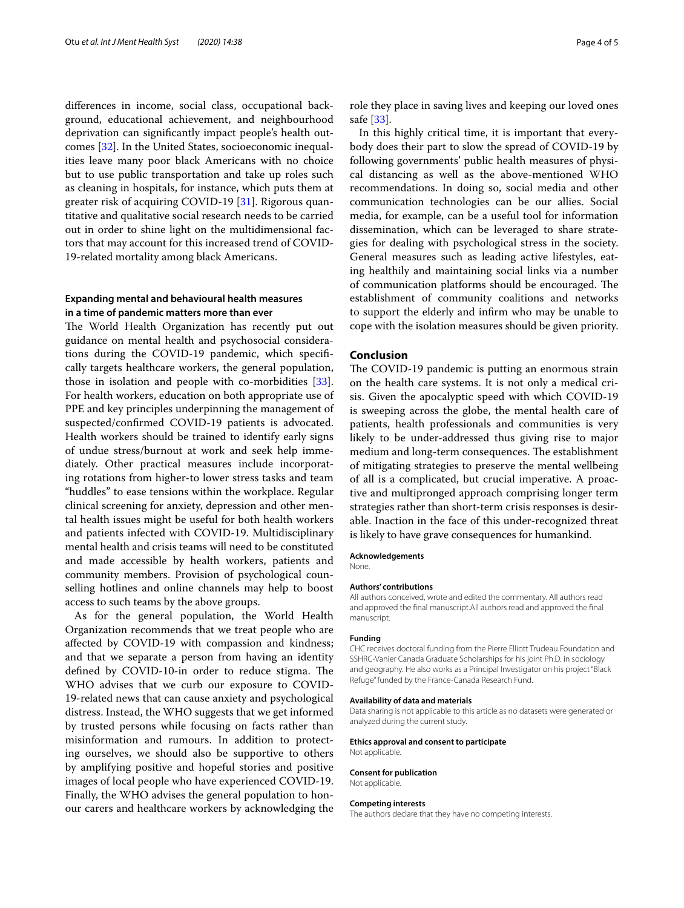diferences in income, social class, occupational background, educational achievement, and neighbourhood deprivation can signifcantly impact people's health outcomes [\[32](#page-4-30)]. In the United States, socioeconomic inequalities leave many poor black Americans with no choice but to use public transportation and take up roles such as cleaning in hospitals, for instance, which puts them at greater risk of acquiring COVID-19 [\[31](#page-4-29)]. Rigorous quantitative and qualitative social research needs to be carried out in order to shine light on the multidimensional factors that may account for this increased trend of COVID-19-related mortality among black Americans.

## **Expanding mental and behavioural health measures in a time of pandemic matters more than ever**

The World Health Organization has recently put out guidance on mental health and psychosocial considerations during the COVID-19 pandemic, which specifcally targets healthcare workers, the general population, those in isolation and people with co-morbidities [\[33](#page-4-31)]. For health workers, education on both appropriate use of PPE and key principles underpinning the management of suspected/confrmed COVID-19 patients is advocated. Health workers should be trained to identify early signs of undue stress/burnout at work and seek help immediately. Other practical measures include incorporating rotations from higher-to lower stress tasks and team "huddles" to ease tensions within the workplace. Regular clinical screening for anxiety, depression and other mental health issues might be useful for both health workers and patients infected with COVID-19. Multidisciplinary mental health and crisis teams will need to be constituted and made accessible by health workers, patients and community members. Provision of psychological counselling hotlines and online channels may help to boost access to such teams by the above groups.

As for the general population, the World Health Organization recommends that we treat people who are afected by COVID-19 with compassion and kindness; and that we separate a person from having an identity defined by COVID-10-in order to reduce stigma. The WHO advises that we curb our exposure to COVID-19-related news that can cause anxiety and psychological distress. Instead, the WHO suggests that we get informed by trusted persons while focusing on facts rather than misinformation and rumours. In addition to protecting ourselves, we should also be supportive to others by amplifying positive and hopeful stories and positive images of local people who have experienced COVID-19. Finally, the WHO advises the general population to honour carers and healthcare workers by acknowledging the role they place in saving lives and keeping our loved ones safe [[33\]](#page-4-31).

In this highly critical time, it is important that everybody does their part to slow the spread of COVID-19 by following governments' public health measures of physical distancing as well as the above-mentioned WHO recommendations. In doing so, social media and other communication technologies can be our allies. Social media, for example, can be a useful tool for information dissemination, which can be leveraged to share strategies for dealing with psychological stress in the society. General measures such as leading active lifestyles, eating healthily and maintaining social links via a number of communication platforms should be encouraged. The establishment of community coalitions and networks to support the elderly and infrm who may be unable to cope with the isolation measures should be given priority.

## **Conclusion**

The COVID-19 pandemic is putting an enormous strain on the health care systems. It is not only a medical crisis. Given the apocalyptic speed with which COVID-19 is sweeping across the globe, the mental health care of patients, health professionals and communities is very likely to be under-addressed thus giving rise to major medium and long-term consequences. The establishment of mitigating strategies to preserve the mental wellbeing of all is a complicated, but crucial imperative. A proactive and multipronged approach comprising longer term strategies rather than short-term crisis responses is desirable. Inaction in the face of this under-recognized threat is likely to have grave consequences for humankind.

#### **Acknowledgements**

None.

#### **Authors' contributions**

All authors conceived, wrote and edited the commentary. All authors read and approved the fnal manuscript.All authors read and approved the fnal manuscript.

#### **Funding**

CHC receives doctoral funding from the Pierre Elliott Trudeau Foundation and SSHRC-Vanier Canada Graduate Scholarships for his joint Ph.D. in sociology and geography. He also works as a Principal Investigator on his project "Black Refuge" funded by the France-Canada Research Fund.

#### **Availability of data and materials**

Data sharing is not applicable to this article as no datasets were generated or analyzed during the current study.

#### **Ethics approval and consent to participate**

Not applicable.

#### **Consent for publication**

Not applicable.

#### **Competing interests**

The authors declare that they have no competing interests.